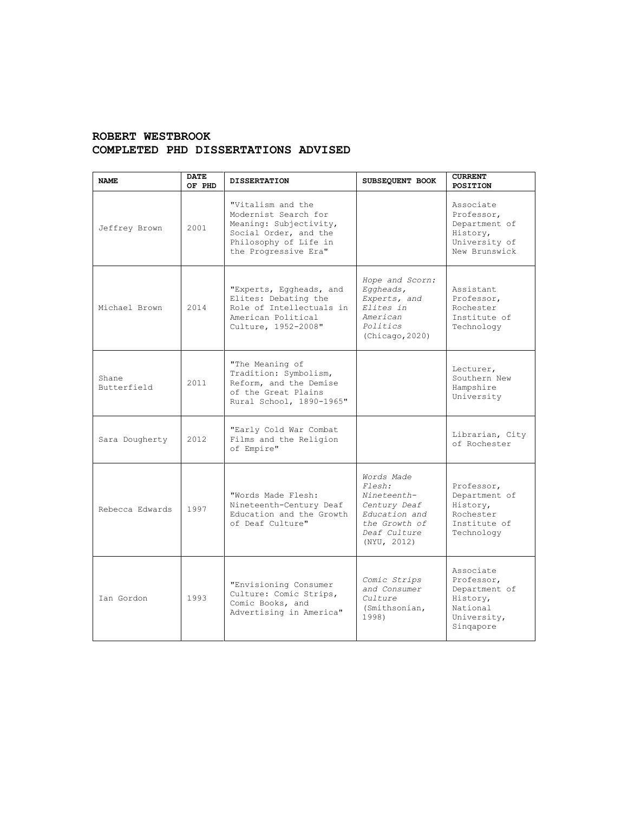## **ROBERT WESTBROOK COMPLETED PHD DISSERTATIONS ADVISED**

| <b>NAME</b>          | <b>DATE</b><br>OF PHD | <b>DISSERTATION</b>                                                                                                                           | SUBSEQUENT BOOK                                                                                                      | <b>CURRENT</b><br><b>POSITION</b>                                                            |
|----------------------|-----------------------|-----------------------------------------------------------------------------------------------------------------------------------------------|----------------------------------------------------------------------------------------------------------------------|----------------------------------------------------------------------------------------------|
| Jeffrey Brown        | 2001                  | "Vitalism and the<br>Modernist Search for<br>Meaning: Subjectivity,<br>Social Order, and the<br>Philosophy of Life in<br>the Progressive Era" |                                                                                                                      | Associate<br>Professor,<br>Department of<br>History,<br>University of<br>New Brunswick       |
| Michael Brown        | 2014                  | "Experts, Eggheads, and<br>Elites: Debating the<br>Role of Intellectuals in<br>American Political<br>Culture, 1952-2008"                      | Hope and Scorn:<br>Eggheads,<br>Experts, and<br>Elites in<br>American<br>Politics<br>(Chicago, 2020)                 | Assistant<br>Professor,<br>Rochester<br>Institute of<br>Technology                           |
| Shane<br>Butterfield | 2011                  | "The Meaning of<br>Tradition: Symbolism,<br>Reform, and the Demise<br>of the Great Plains<br>Rural School, 1890-1965"                         |                                                                                                                      | Lecturer,<br>Southern New<br>Hampshire<br>University                                         |
| Sara Dougherty       | 2012                  | "Early Cold War Combat<br>Films and the Religion<br>of Empire"                                                                                |                                                                                                                      | Librarian, City<br>of Rochester                                                              |
| Rebecca Edwards      | 1997                  | "Words Made Flesh:<br>Nineteenth-Century Deaf<br>Education and the Growth<br>of Deaf Culture"                                                 | Words Made<br>Flesh:<br>Nineteenth-<br>Century Deaf<br>Education and<br>the Growth of<br>Deaf Culture<br>(NYU, 2012) | Professor,<br>Department of<br>History,<br>Rochester<br>Institute of<br>Technology           |
| Ian Gordon           | 1993                  | "Envisioning Consumer<br>Culture: Comic Strips,<br>Comic Books, and<br>Advertising in America"                                                | Comic Strips<br>and Consumer<br>Culture<br>(Smithsonian,<br>1998)                                                    | Associate<br>Professor,<br>Department of<br>History,<br>National<br>University,<br>Singapore |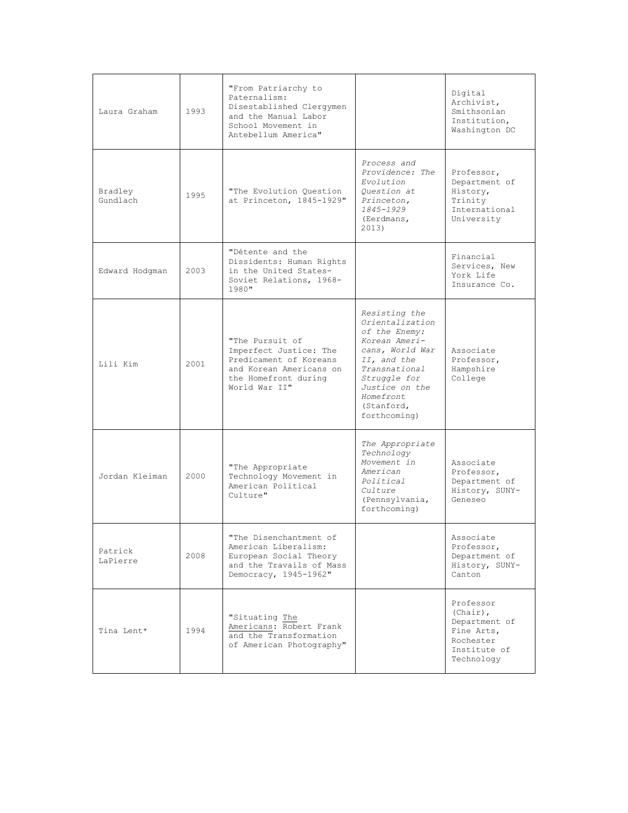| Laura Graham        | 1993 | "From Patriarchy to<br>Paternalism:<br>Disestablished Clergymen<br>and the Manual Labor<br>School Movement in<br>Antebellum America"    |                                                                                                                                                                                                    | Digital<br>Archivist,<br>Smithsonian<br>Institution,<br>Washington DC                              |
|---------------------|------|-----------------------------------------------------------------------------------------------------------------------------------------|----------------------------------------------------------------------------------------------------------------------------------------------------------------------------------------------------|----------------------------------------------------------------------------------------------------|
| Bradley<br>Gundlach | 1995 | "The Evolution Ouestion<br>at Princeton, 1845-1929"                                                                                     | Process and<br>Providence: The<br>Evolution<br>Ouestion at<br>Princeton,<br>1845-1929<br>(Eerdmans,<br>2013)                                                                                       | Professor,<br>Department of<br>History,<br>Trinity<br>International<br>University                  |
| Edward Hodgman      | 2003 | "Détente and the<br>Dissidents: Human Rights<br>in the United States-<br>Soviet Relations, 1968-<br>1980"                               |                                                                                                                                                                                                    | Financial<br>Services, New<br>York Life<br>Insurance Co.                                           |
| Lili Kim            | 2001 | "The Pursuit of<br>Imperfect Justice: The<br>Predicament of Koreans<br>and Korean Americans on<br>the Homefront during<br>World War II" | Resisting the<br>Orientalization<br>of the Enemy:<br>Korean Ameri-<br>cans, World War<br>II, and the<br>Transnational<br>Struggle for<br>Justice on the<br>Homefront<br>(Stanford,<br>forthcoming) | Associate<br>Professor,<br>Hampshire<br>College                                                    |
| Jordan Kleiman      | 2000 | "The Appropriate<br>Technology Movement in<br>American Political<br>Culture"                                                            | The Appropriate<br>Technology<br>Movement in<br>American<br>Political<br>Culture<br>(Pennsylvania,<br>forthcoming)                                                                                 | Associate<br>Professor,<br>Department of<br>History, SUNY-<br>Geneseo                              |
| Patrick<br>LaPierre | 2008 | "The Disenchantment of<br>American Liberalism:<br>European Social Theory<br>and the Travails of Mass<br>Democracy, 1945-1962"           |                                                                                                                                                                                                    | Associate<br>Professor,<br>Department of<br>History, SUNY-<br>Canton                               |
| Tina Lent*          | 1994 | "Situating The<br>Americans: Robert Frank<br>and the Transformation<br>of American Photography"                                         |                                                                                                                                                                                                    | Professor<br>$(Chair)$ ,<br>Department of<br>Fine Arts,<br>Rochester<br>Institute of<br>Technology |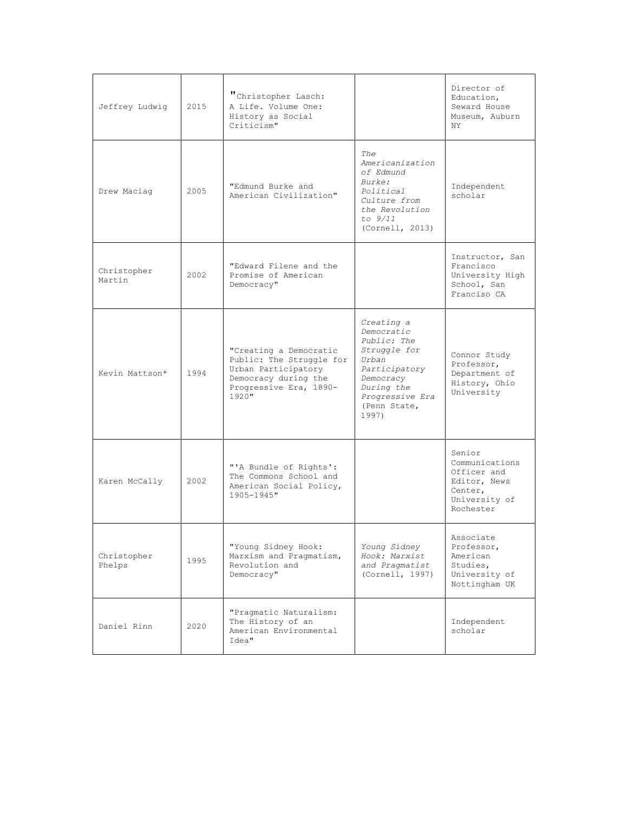| Jeffrey Ludwig        | 2015 | "Christopher Lasch:<br>A Life. Volume One:<br>History as Social<br>Criticism"                                                           |                                                                                                                                                          | Director of<br>Education,<br>Seward House<br>Museum, Auburn<br>NY.                               |
|-----------------------|------|-----------------------------------------------------------------------------------------------------------------------------------------|----------------------------------------------------------------------------------------------------------------------------------------------------------|--------------------------------------------------------------------------------------------------|
| Drew Maciag           | 2005 | "Edmund Burke and<br>American Civilization"                                                                                             | The<br>Americanization<br>of Edmund<br>Burke:<br>Political<br>Culture from<br>the Revolution<br>to $9/11$<br>(Cornell, 2013)                             | Independent<br>scholar                                                                           |
| Christopher<br>Martin | 2002 | "Edward Filene and the<br>Promise of American<br>Democracy"                                                                             |                                                                                                                                                          | Instructor, San<br>Francisco<br>University High<br>School, San<br>Franciso CA                    |
| Kevin Mattson*        | 1994 | "Creating a Democratic<br>Public: The Struggle for<br>Urban Participatory<br>Democracy during the<br>Progressive Era, 1890-<br>$1920$ " | Creating a<br>Democratic<br>Public: The<br>Struggle for<br>Urban<br>Participatory<br>Democracy<br>During the<br>Progressive Era<br>(Penn State,<br>1997) | Connor Study<br>Professor,<br>Department of<br>History, Ohio<br>University                       |
| Karen McCally         | 2002 | "'A Bundle of Rights':<br>The Commons School and<br>American Social Policy,<br>$1905 - 1945$ "                                          |                                                                                                                                                          | Senior<br>Communications<br>Officer and<br>Editor, News<br>Center,<br>University of<br>Rochester |
| Christopher<br>Phelps | 1995 | "Young Sidney Hook:<br>Marxism and Pragmatism,<br>Revolution and<br>Democracy"                                                          | Young Sidney<br>Hook: Marxist<br>and Pragmatist<br>(Cornell, 1997)                                                                                       | Associate<br>Professor,<br>American<br>Studies,<br>University of<br>Nottingham UK                |
| Daniel Rinn           | 2020 | "Pragmatic Naturalism:<br>The History of an<br>American Environmental<br>Idea"                                                          |                                                                                                                                                          | Independent<br>scholar                                                                           |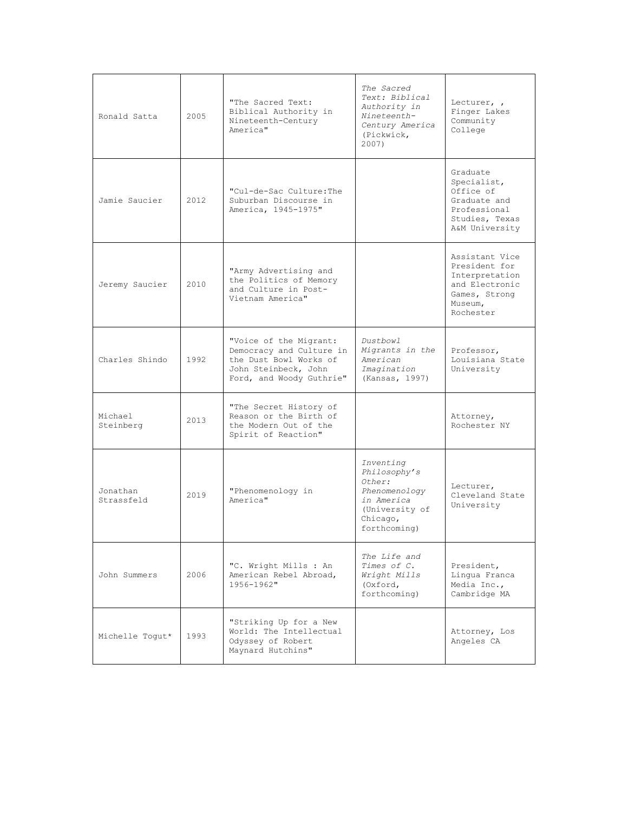| Ronald Satta           | 2005 | "The Sacred Text:<br>Biblical Authority in<br>Nineteenth-Century<br>America"                                                     | The Sacred<br>Text: Biblical<br>Authority in<br>Nineteenth-<br>Century America<br>(Pickwick,<br>2007)            | Lecturer, ,<br>Finger Lakes<br>Community<br>College                                                          |
|------------------------|------|----------------------------------------------------------------------------------------------------------------------------------|------------------------------------------------------------------------------------------------------------------|--------------------------------------------------------------------------------------------------------------|
| Jamie Saucier          | 2012 | "Cul-de-Sac Culture: The<br>Suburban Discourse in<br>America, 1945-1975"                                                         |                                                                                                                  | Graduate<br>Specialist,<br>Office of<br>Graduate and<br>Professional<br>Studies, Texas<br>A&M University     |
| Jeremy Saucier         | 2010 | "Army Advertising and<br>the Politics of Memory<br>and Culture in Post-<br>Vietnam America"                                      |                                                                                                                  | Assistant Vice<br>President for<br>Interpretation<br>and Electronic<br>Games, Strong<br>Museum,<br>Rochester |
| Charles Shindo         | 1992 | "Voice of the Migrant:<br>Democracy and Culture in<br>the Dust Bowl Works of<br>John Steinbeck, John<br>Ford, and Woody Guthrie" | Dustbowl<br>Migrants in the<br>American<br>Imagination<br>(Kansas, 1997)                                         | Professor,<br>Louisiana State<br>University                                                                  |
| Michael<br>Steinberg   | 2013 | "The Secret History of<br>Reason or the Birth of<br>the Modern Out of the<br>Spirit of Reaction"                                 |                                                                                                                  | Attorney,<br>Rochester NY                                                                                    |
| Jonathan<br>Strassfeld | 2019 | "Phenomenology in<br>America"                                                                                                    | Inventing<br>Philosophy's<br>Other:<br>Phenomenology<br>in America<br>(University of<br>Chicago,<br>forthcoming) | Lecturer,<br>Cleveland State<br>University                                                                   |
| John Summers           | 2006 | "C. Wright Mills : An<br>American Rebel Abroad,<br>1956-1962"                                                                    | The Life and<br>Times of C.<br>Wright Mills<br>(Oxford,<br>forthcoming)                                          | President,<br>Lingua Franca<br>Media Inc.,<br>Cambridge MA                                                   |
| Michelle Togut*        | 1993 | "Striking Up for a New<br>World: The Intellectual<br>Odyssey of Robert<br>Maynard Hutchins"                                      |                                                                                                                  | Attorney, Los<br>Angeles CA                                                                                  |